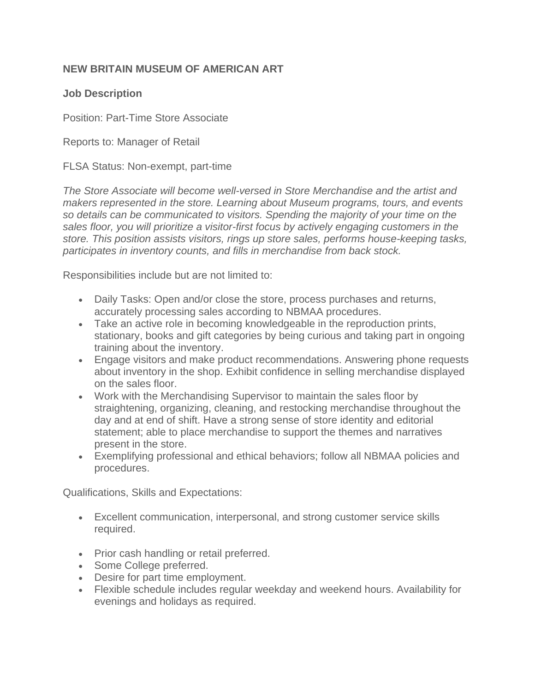## **NEW BRITAIN MUSEUM OF AMERICAN ART**

## **Job Description**

Position: Part-Time Store Associate

Reports to: Manager of Retail

FLSA Status: Non-exempt, part-time

The Store Associate will become well-versed in Store Merchandise and the artist and *makers represented in the store. Learning about Museum programs, tours, and events so details can be communicated to visitors. Spending the majority of your time on the sales floor, you will prioritize a visitor-first focus by actively engaging customers in the store. This position assists visitors, rings up store sales, performs house-keeping tasks, participates in inventory counts, and fills in merchandise from back stock.*

Responsibilities include but are not limited to:

- Daily Tasks: Open and/or close the store, process purchases and returns, accurately processing sales according to NBMAA procedures.
- Take an active role in becoming knowledgeable in the reproduction prints, stationary, books and gift categories by being curious and taking part in ongoing training about the inventory.
- Engage visitors and make product recommendations. Answering phone requests about inventory in the shop. Exhibit confidence in selling merchandise displayed on the sales floor.
- Work with the Merchandising Supervisor to maintain the sales floor by straightening, organizing, cleaning, and restocking merchandise throughout the day and at end of shift. Have a strong sense of store identity and editorial statement; able to place merchandise to support the themes and narratives present in the store.
- Exemplifying professional and ethical behaviors; follow all NBMAA policies and procedures.

Qualifications, Skills and Expectations:

- Excellent communication, interpersonal, and strong customer service skills required.
- Prior cash handling or retail preferred.
- Some College preferred.
- Desire for part time employment.
- Flexible schedule includes regular weekday and weekend hours. Availability for evenings and holidays as required.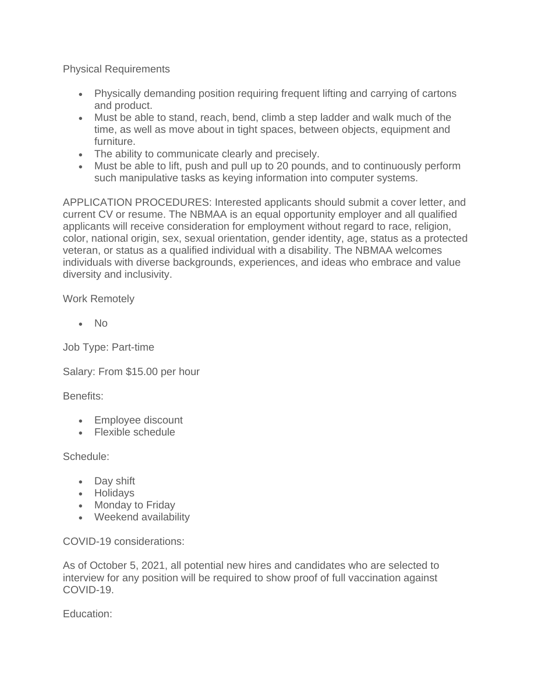Physical Requirements

- Physically demanding position requiring frequent lifting and carrying of cartons and product.
- Must be able to stand, reach, bend, climb a step ladder and walk much of the time, as well as move about in tight spaces, between objects, equipment and furniture.
- The ability to communicate clearly and precisely.
- Must be able to lift, push and pull up to 20 pounds, and to continuously perform such manipulative tasks as keying information into computer systems.

APPLICATION PROCEDURES: Interested applicants should submit a cover letter, and current CV or resume. The NBMAA is an equal opportunity employer and all qualified applicants will receive consideration for employment without regard to race, religion, color, national origin, sex, sexual orientation, gender identity, age, status as a protected veteran, or status as a qualified individual with a disability. The NBMAA welcomes individuals with diverse backgrounds, experiences, and ideas who embrace and value diversity and inclusivity.

Work Remotely

• No

Job Type: Part-time

Salary: From \$15.00 per hour

Benefits:

- Employee discount
- Flexible schedule

Schedule:

- Day shift
- Holidays
- Monday to Friday
- Weekend availability

COVID-19 considerations:

As of October 5, 2021, all potential new hires and candidates who are selected to interview for any position will be required to show proof of full vaccination against COVID-19.

Education: